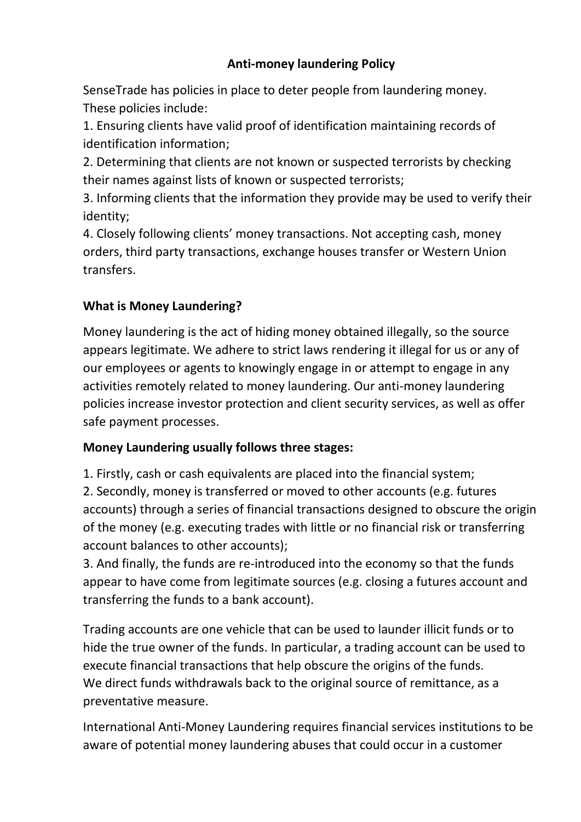### **Anti-money laundering Policy**

SenseTrade has policies in place to deter people from laundering money. These policies include:

1. Ensuring clients have valid proof of identification maintaining records of identification information;

2. Determining that clients are not known or suspected terrorists by checking their names against lists of known or suspected terrorists;

3. Informing clients that the information they provide may be used to verify their identity;

4. Closely following clients' money transactions. Not accepting cash, money orders, third party transactions, exchange houses transfer or Western Union transfers.

### **What is Money Laundering?**

Money laundering is the act of hiding money obtained illegally, so the source appears legitimate. We adhere to strict laws rendering it illegal for us or any of our employees or agents to knowingly engage in or attempt to engage in any activities remotely related to money laundering. Our anti-money laundering policies increase investor protection and client security services, as well as offer safe payment processes.

#### **Money Laundering usually follows three stages:**

1. Firstly, cash or cash equivalents are placed into the financial system; 2. Secondly, money is transferred or moved to other accounts (e.g. futures accounts) through a series of financial transactions designed to obscure the origin of the money (e.g. executing trades with little or no financial risk or transferring account balances to other accounts);

3. And finally, the funds are re-introduced into the economy so that the funds appear to have come from legitimate sources (e.g. closing a futures account and transferring the funds to a bank account).

Trading accounts are one vehicle that can be used to launder illicit funds or to hide the true owner of the funds. In particular, a trading account can be used to execute financial transactions that help obscure the origins of the funds. We direct funds withdrawals back to the original source of remittance, as a preventative measure.

International Anti-Money Laundering requires financial services institutions to be aware of potential money laundering abuses that could occur in a customer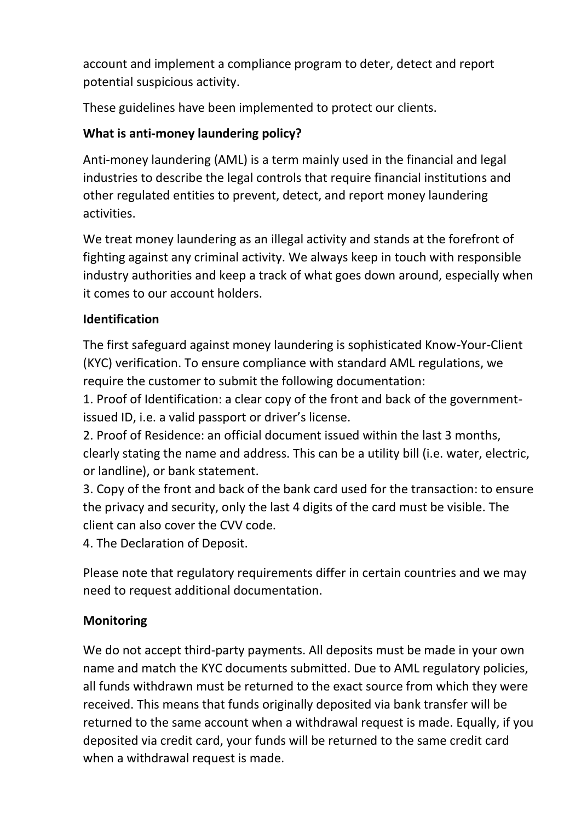account and implement a compliance program to deter, detect and report potential suspicious activity.

These guidelines have been implemented to protect our clients.

# **What is anti-money laundering policy?**

Anti-money laundering (AML) is a term mainly used in the financial and legal industries to describe the legal controls that require financial institutions and other regulated entities to prevent, detect, and report money laundering activities.

We treat money laundering as an illegal activity and stands at the forefront of fighting against any criminal activity. We always keep in touch with responsible industry authorities and keep a track of what goes down around, especially when it comes to our account holders.

### **Identification**

The first safeguard against money laundering is sophisticated Know-Your-Client (KYC) verification. To ensure compliance with standard AML regulations, we require the customer to submit the following documentation:

1. Proof of Identification: a clear copy of the front and back of the governmentissued ID, i.e. a valid passport or driver's license.

2. Proof of Residence: an official document issued within the last 3 months, clearly stating the name and address. This can be a utility bill (i.e. water, electric, or landline), or bank statement.

3. Copy of the front and back of the bank card used for the transaction: to ensure the privacy and security, only the last 4 digits of the card must be visible. The client can also cover the CVV code.

4. The Declaration of Deposit.

Please note that regulatory requirements differ in certain countries and we may need to request additional documentation.

# **Monitoring**

We do not accept third-party payments. All deposits must be made in your own name and match the KYC documents submitted. Due to AML regulatory policies, all funds withdrawn must be returned to the exact source from which they were received. This means that funds originally deposited via bank transfer will be returned to the same account when a withdrawal request is made. Equally, if you deposited via credit card, your funds will be returned to the same credit card when a withdrawal request is made.